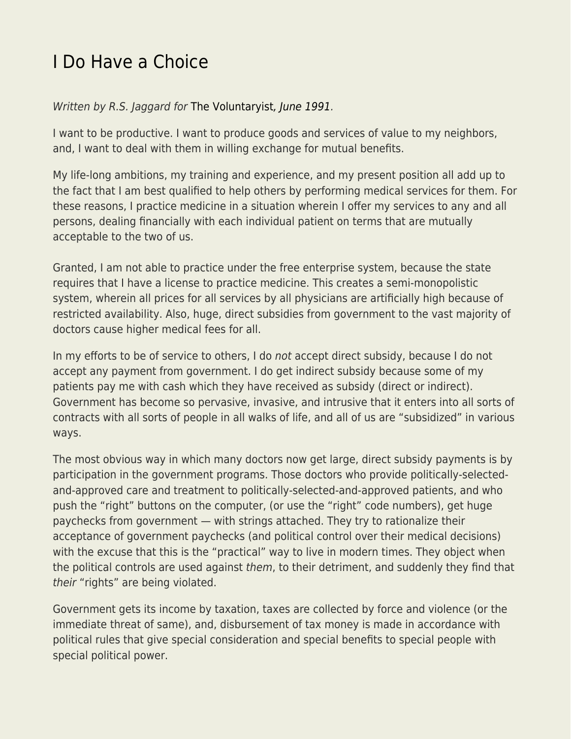## [I Do Have a Choice](https://everything-voluntary.com/i-do-have-a-choice)

Written by R.S. Jaggard for [The Voluntaryist](http://voluntaryist.com/backissues/050.pdf)[, June 1991.](http://voluntaryist.com/backissues/050.pdf)

I want to be productive. I want to produce goods and services of value to my neighbors, and, I want to deal with them in willing exchange for mutual benefits.

My life-long ambitions, my training and experience, and my present position all add up to the fact that I am best qualified to help others by performing medical services for them. For these reasons, I practice medicine in a situation wherein I offer my services to any and all persons, dealing financially with each individual patient on terms that are mutually acceptable to the two of us.

Granted, I am not able to practice under the free enterprise system, because the state requires that I have a license to practice medicine. This creates a semi-monopolistic system, wherein all prices for all services by all physicians are artificially high because of restricted availability. Also, huge, direct subsidies from government to the vast majority of doctors cause higher medical fees for all.

In my efforts to be of service to others, I do not accept direct subsidy, because I do not accept any payment from government. I do get indirect subsidy because some of my patients pay me with cash which they have received as subsidy (direct or indirect). Government has become so pervasive, invasive, and intrusive that it enters into all sorts of contracts with all sorts of people in all walks of life, and all of us are "subsidized" in various ways.

The most obvious way in which many doctors now get large, direct subsidy payments is by participation in the government programs. Those doctors who provide politically-selectedand-approved care and treatment to politically-selected-and-approved patients, and who push the "right" buttons on the computer, (or use the "right" code numbers), get huge paychecks from government — with strings attached. They try to rationalize their acceptance of government paychecks (and political control over their medical decisions) with the excuse that this is the "practical" way to live in modern times. They object when the political controls are used against them, to their detriment, and suddenly they find that their "rights" are being violated.

Government gets its income by taxation, taxes are collected by force and violence (or the immediate threat of same), and, disbursement of tax money is made in accordance with political rules that give special consideration and special benefits to special people with special political power.